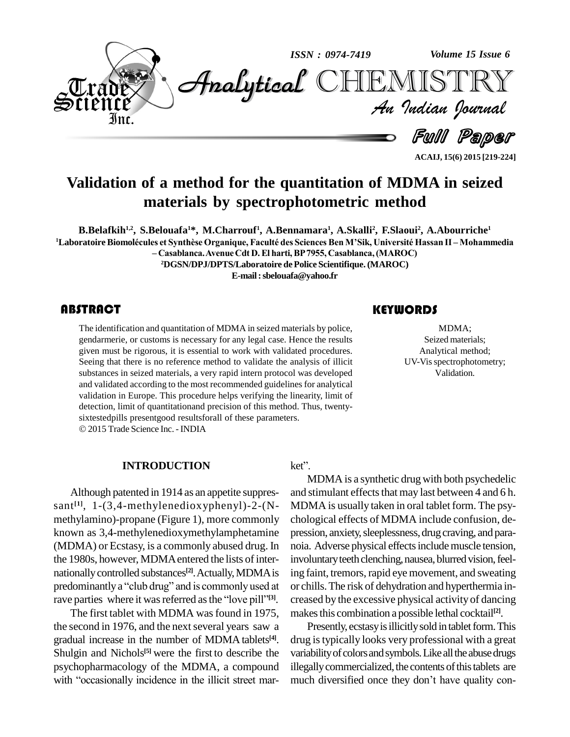

ACAIJ, 15(6) 2015 [219-224]

## Validation of a method for the quantitation of MDMA in seized materials by spectrophotometric method

B.Belafkih<sup>1,2</sup>, S.Belouafa<sup>1\*</sup>, M.Charrouf<sup>1</sup>, A.Bennamara<sup>1</sup>, A.Skalli<sup>2</sup>, F.Slaoui<sup>2</sup>, A.Abourriche<sup>1</sup> <sup>1</sup>Laboratoire Biomolécules et Synthèse Organique, Faculté des Sciences Ben M'Sik, Université Hassan II – Mohammedia - Casablanca. Avenue Cdt D. El harti, BP 7955, Casablanca, (MAROC)

<sup>2</sup>DGSN/DPJ/DPTS/Laboratoire de Police Scientifique. (MAROC)

E-mail: sbelouafa@yahoo.fr

#### **ABSTRACT**

The identification and quantitation of MDMA in seized materials by police, gendarmerie, or customs is necessary for any legal case. Hence the results given must be rigorous, it is essential to work with validated procedures. Seeing that there is no reference method to validate the analysis of illicit substances in seized materials, a very rapid intern protocol was developed and validated according to the most recommended guidelines for analytical validation in Europe. This procedure helps verifying the linearity, limit of detection, limit of quantitationand precision of this method. Thus, twentysixtestedpills presentgood results for all of these parameters. © 2015 Trade Science Inc. - INDIA

#### **INTRODUCTION**

Although patented in 1914 as an appetite suppressant $[1, 1-(3, 4-methylenedioxyphenyl)-2-(N$ methylamino)-propane (Figure 1), more commonly known as 3,4-methylenedioxymethylamphetamine (MDMA) or Ecstasy, is a commonly abused drug. In the 1980s, however, MDMA entered the lists of internationally controlled substances<sup>[2]</sup>. Actually, MDMA is predominantly a "club drug" and is commonly used at rave parties where it was referred as the "love pill"<sup>[3]</sup>.

The first tablet with MDMA was found in 1975, the second in 1976, and the next several years saw a gradual increase in the number of MDMA tablets<sup>[4]</sup>. Shulgin and Nichols<sup>[5]</sup> were the first to describe the psychopharmacology of the MDMA, a compound with "occasionally incidence in the illicit street market".

MDMA is a synthetic drug with both psychedelic and stimulant effects that may last between 4 and 6 h. MDMA is usually taken in oral tablet form. The psychological effects of MDMA include confusion, depression, anxiety, sleeplessness, drug craving, and paranoia. Adverse physical effects include muscle tension, involuntary teeth clenching, nausea, blurred vision, feeling faint, tremors, rapid eye movement, and sweating or chills. The risk of dehydration and hyperthermia increased by the excessive physical activity of dancing makes this combination a possible lethal cocktail<sup>[2]</sup>.

Presently, ecstasy is illicitly sold in tablet form. This drug is typically looks very professional with a great variability of colors and symbols. Like all the abuse drugs illegally commercialized, the contents of this tablets are much diversified once they don't have quality con-

#### **KEYWORDS**

MDMA; Seized materials: Analytical method; UV-Vis spectrophotometry; Validation.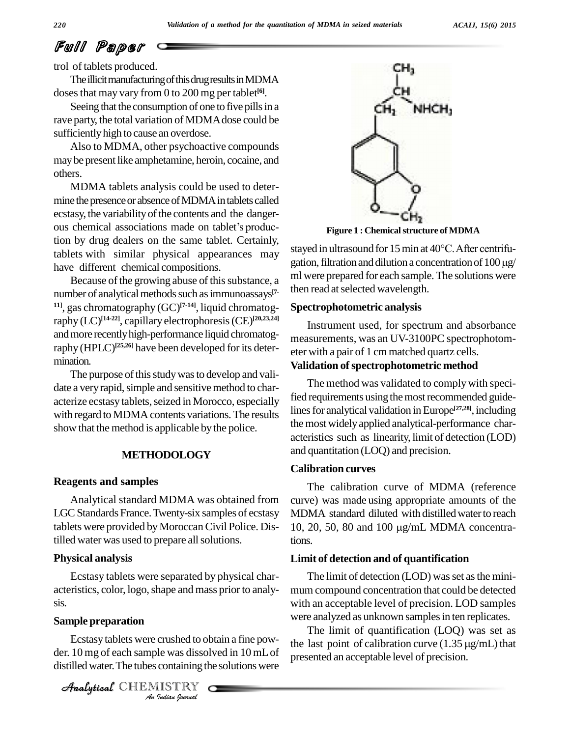# Full Paper

trol of tablets produced.

The illicit manufacturing of this drug results in MDMA dosesthat may vary from 0 to 200 mg per tablet **[6]**.

Seeing that the consumption of one to five pills in a rave party, the total variation of MDMA dose could be sufficientlyhigh to cause an overdose.

Also to MDMA, other psychoactive compounds maybe present like amphetamine, heroin, cocaine, and others.

MDMA tablets analysis could be used to deter mine the presence or absence of MDMA in tablets called ecstasy, the variability of the contents and the dangermine the presence or absence of MDMA in tablets called<br>ecstasy, the variability of the contents and the danger-<br>ous chemical associations made on tablet's production by drug dealers on the same tablet. Certainly, tablets with similar physical appearances may have different chemical compositions.

Because of the growing abuse of this substance, a number of analytical methods such as immunoassays<sup>[7-line</sup> **11]**, gas chromatography (GC) **[7-14]**, liquid chromatography (LC) **[14-22]**, capillary electrophoresis(CE) **[20,23,24]** and more recently high-performance liquid chromatography (HPLC)<sup>[25,26]</sup> have been developed for its determination.

The purpose of this study was to develop and validate a very rapid, simple and sensitive method to characterize ecstasy tablets, seized in Morocco, especially with regard to MDMA contents variations. The results show that the method is applicable by the police.

#### **METHODOLOGY**

#### **Reagents and samples**

Analytical standard MDMA was obtained from LGC Standards France. Twenty-six samples of ecstasy tablets were provided by Moroccan Civil Police. Distilled water was used to prepare all solutions.

#### **Physical analysis**

Ecstasy tablets were separated by physical char acteristics, color, logo,shape and mass priorto analy sis.

## Analytical**Sample preparation**

*Indian*<br>*Indian*<br>*I*<br>*Indian bournal* Ecstasy tablets were crushed to obtain a fine pow der. 10 mg of each sample was dissolved in 10 mLof distilled water. The tubes containing the solutions were

CHEMISTRY



**Figure 1 : Chemicalstructure of MDMA**

stayed in ultrasound for 15 min at 40°C. After centrifugation, filtration and dilution a concentration of  $100 \mu g$ / ml were prepared for each sample.The solutions were then read at selected wavelength.

#### **Spectrophotometric analysis**

Instrument used, for spectrum and absorbance measurements, was an UV-3100PC spectrophotom eter with a pair of 1 cm matched quartz cells.

#### **Validation ofspectrophotometric method**

The method was validated to complywith specified requirements using the most recommended guidelines for analytical validation in Europe<sup>[27,28]</sup>, including the most widely applied analytical-performance characteristics such as linearity, limit of detection (LOD) and quantitation (LOQ) and precision.

#### **Calibration curves**

The calibration curve of MDMA (reference curve) was made using appropriate amounts of the MDMA standard diluted with distilled water to reach 10, 20, 50, 80 and 100 μg/mL MDMA concentrations.

#### **Limit of detection and of quantification**

The limit of detection (LOD) was set as the minimum compound concentration that could be detected with an acceptable level of precision. LOD samples were analyzed as unknown samples in ten replicates.

The limit of quantification (LOQ) was set as the last point of calibration curve  $(1.35 \,\mu\text{g/mL})$  that presented an acceptable level of precision.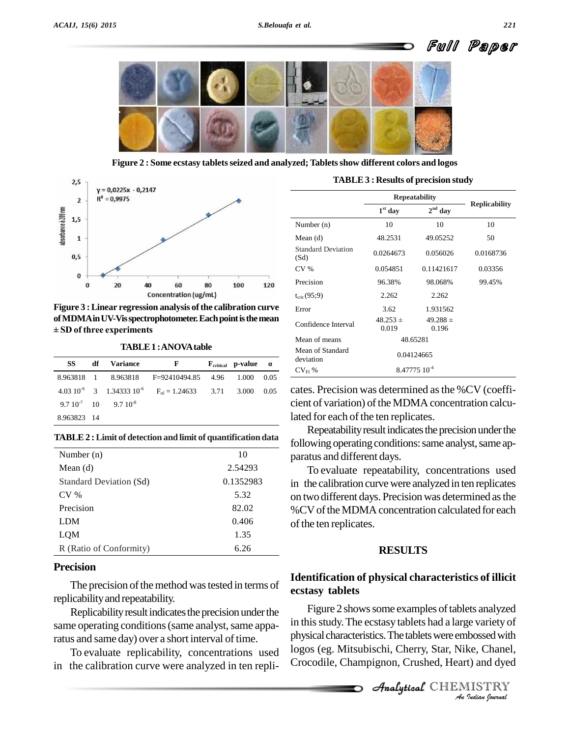



**Figure 2 : Some ecstasy tabletsseized and analyzed; Tabletsshow different colors and logos**



**Figure 3 : Linear regression analysis of the calibration curve**<br> **of MDMA in UV-Vis spectrophotometer. Each point is the mean**<br>  $\pm$  **SD** of three experiments **ofMDMAinUV-Visspectrophotometer.Eachpointisthemean**

| TABLE 1: ANOVA table |    |                                |                                                                         |  |                                                 |      |
|----------------------|----|--------------------------------|-------------------------------------------------------------------------|--|-------------------------------------------------|------|
| SS                   | df | <b>Variance</b>                | F                                                                       |  | $\mathbf{F}_{\text{critical}}$ p-value $\alpha$ |      |
|                      |    |                                | 8.963818 1 8.963818 F=92410494.85 4.96                                  |  | 1.000                                           | 0.05 |
|                      |    |                                | 4.03 $10^{-6}$ 3 1.34333 $10^{-6}$ F <sub>n1</sub> = 1.24633 3.71 3.000 |  |                                                 | 0.05 |
|                      |    | $9.7 10^{-7}$ 10 $9.7 10^{-8}$ |                                                                         |  |                                                 |      |
| 8.963823 14          |    |                                |                                                                         |  |                                                 |      |

**TABLE 2 : Limit of detection and limit of quantification data** 

| Number $(n)$            | 10        |
|-------------------------|-----------|
| Mean $(d)$              | 2.54293   |
| Standard Deviation (Sd) | 0.1352983 |
| CV <sub>0</sub>         | 5.32      |
| Precision               | 82.02     |
| <b>LDM</b>              | 0.406     |
| LQM                     | 1.35      |
| R (Ratio of Conformity) | 6.26      |

#### **Precision**

The precision of the method was tested in terms of replicability and repeatability.

Replicability result indicates the precision under the same operating conditions (same analyst, same apparatus and same day) over a short interval of time.

To evaluate replicability, concentrations used in the calibration curve were analyzed in ten repli-

| <b>TABLE 3 : Results of precision study</b> |  |  |
|---------------------------------------------|--|--|
|---------------------------------------------|--|--|

|                                   | <b>Repeatability</b>     | <b>Replicability</b>  |           |
|-----------------------------------|--------------------------|-----------------------|-----------|
|                                   | $1st$ day                | $2nd$ day             |           |
| Number $(n)$                      | 10                       | 10                    | 10        |
| Mean $(d)$                        | 48.2531                  | 49.05252              | 50        |
| <b>Standard Deviation</b><br>(Sd) | 0.0264673                | 0.056026              | 0.0168736 |
| CV <sub>6</sub>                   | 0.054851                 | 0.11421617            | 0.03356   |
| Precision                         | 96.38%                   | 98.068%               | 99.45%    |
| $t_{\rm crit}$ (95;9)             | 2.262                    | 2.262                 |           |
| Error                             | 3.62                     | 1.931562              |           |
| Confidence Interval               | $48.253 \pm$<br>0.019    | $49.288 \pm$<br>0.196 |           |
| Mean of means                     | 48.65281                 |                       |           |
| Mean of Standard<br>deviation     | 0.04124665               |                       |           |
| $CV_{FI}$ %                       | 8.47775 10 <sup>-4</sup> |                       |           |

cates. Precision was determined asthe %CV (coeffi cient of variation) of the MDMA concentration calculated for each of the ten replicates.

Repeatability result indicates the precision under the following operating conditions: same analyst, same apparatus and different days.

To evaluate repeatability, concentrations used in the calibration curve were analyzed in ten replicates on two different days. Precision was determined asthe %CVoftheMDMA concentration calculated foreach of the ten replicates.

#### **RESULTS**

### **Identification of physical characteristics of illicit ecstasy tablets**

in this study. The ecstasy tablets had a large variety of *Indian*<br>*Indian*<br>*I Indian*<br>*IISTRY*<br>*IISTRY* Figure 2 shows some examples of tablets analyzed physical characteristics. The tablets were embossed with logos (eg. Mitsubischi, Cherry, Star, Nike, Chanel, Crocodile, Champignon, Crushed, Heart) and dyed

CHEMISTRY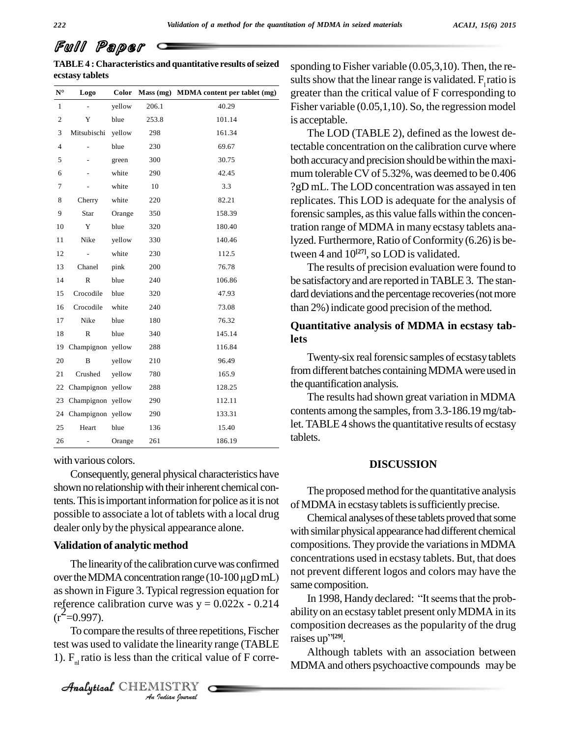# Full Paper

**TABLE4 : Characteristics and quantitative results ofseized ecstasy tablets**

| ecstasy tablets   |                      |        |       |                                        |
|-------------------|----------------------|--------|-------|----------------------------------------|
| ${\bf N}^{\sf o}$ | Logo                 | Color  |       | Mass (mg) MDMA content per tablet (mg) |
| $\mathbf{1}$      |                      | yellow | 206.1 | 40.29                                  |
| $\overline{c}$    | Y                    | blue   | 253.8 | 101.14                                 |
| 3                 | Mitsubischi          | yellow | 298   | 161.34                                 |
| $\overline{4}$    |                      | blue   | 230   | 69.67                                  |
| 5                 |                      | green  | 300   | 30.75                                  |
| 6                 |                      | white  | 290   | 42.45                                  |
| 7                 |                      | white  | 10    | 3.3                                    |
| 8                 | Cherry               | white  | 220   | 82.21                                  |
| 9                 | Star                 | Orange | 350   | 158.39                                 |
| 10                | Y                    | blue   | 320   | 180.40                                 |
| 11                | Nike                 | yellow | 330   | 140.46                                 |
| 12                |                      | white  | 230   | 112.5                                  |
| 13                | Chanel               | pink   | 200   | 76.78                                  |
| 14                | R                    | blue   | 240   | 106.86                                 |
| 15                | Crocodile            | blue   | 320   | 47.93                                  |
| 16                | Crocodile            | white  | 240   | 73.08                                  |
| 17                | Nike                 | blue   | 180   | 76.32                                  |
| 18                | R                    | blue   | 340   | 145.14                                 |
|                   | 19 Champignon yellow |        | 288   | 116.84                                 |
| 20                | B                    | yellow | 210   | 96.49                                  |
| 21                | Crushed              | yellow | 780   | 165.9                                  |
|                   | 22 Champignon yellow |        | 288   | 128.25                                 |
|                   | 23 Champignon yellow |        | 290   | 112.11                                 |
|                   | 24 Champignon yellow |        | 290   | 133.31                                 |
| 25                | Heart                | blue   | 136   | 15.40                                  |
| 26                |                      | Orange | 261   | 186.19                                 |

with various colors.

Consequently, general physical characteristics have shown no relationship with their inherent chemical contents. This is important information for police as it is not possible to associate a lotof tablets with a local drug dealer only bythe physical appearance alone.

#### **Validation of analytic method**

The linearity of the calibration curve was confirmed over the MDMA concentration range (10-100 µgD mL) as shown in Figure 3. Typical regression equation for reference calibration curve was  $y = 0.022x - 0.214$  $(r^2=0.997)$ .

*Is* of three rep<br>*I* the linearity<br>*I* ISTRY<br>*Indian Iournal*  $\frac{-0.997}{\text{To compare the results of three repetitions, Fischer}$ test was used to validate the linearity range (TABLE 1).  $F<sub>nl</sub>$  ratio is less than the critical value of F corre-

CHEMISTRY

sponding to Fisher variable (0.05,3,10). Then, the re sults show that the linear range is validated.  $F_1$  ratio is greater than the critical value of F corresponding to Fisher variable (0.05,1,10). So, the regression model is acceptable.

The LOD (TABLE 2), defined as the lowest detectable concentration on the calibration curve where both accuracy and precision should be within the maximum tolerableCV of 5.32%, was deemed to be 0.406 ?gD mL. The LOD concentration was assayed in ten replicates. This LOD is adequate for the analysis of forensic samples, as this value falls within the concentration range of MDMA in many ecstasy tablets analyzed. Furthermore, Ratio of Conformity  $(6.26)$  is between 4 and  $10^{[27]}$ , so LOD is validated.

The results of precision evaluation were found to be satisfactory and are reported in TABLE 3. The standard deviations and the percentage recoveries (not more than 2%) indicate good precision of the method.

#### **Quantitative analysis of MDMA in ecstasy tablets**

Twenty-six real forensic samples of ecstasy tablets from different batches containing MDMA were used in the quantification analysis.

The results had shown great variation in MDMA contents among the samples, from 3.3-186.19 mg/tablet. TABLE 4 shows the quantitative results of ecstasy tablets.

#### **DISCUSSION**

The proposed method forthe quantitative analysis of MDMA in ecstasy tablets is sufficiently precise.

Chemical analyses of these tablets proved that some with similar physical appearance had different chemical compositions. They provide the variations in MDMA concentrations used in ecstasy tablets. But, that does not prevent different logos and colors may have the same composition.

In 1998, Handy declared: "It seems that the probability on an ecstasy tablet present only MDMA in its<br>composition decreases as the popularity of the drug<br>raises up<sup>21291</sup>. composition decreases as the popularity of the drug raises  $up$ <sup> $\text{''[29]}$ </sup>.

Although tablets with an association between MDMA and others psychoactive compounds may be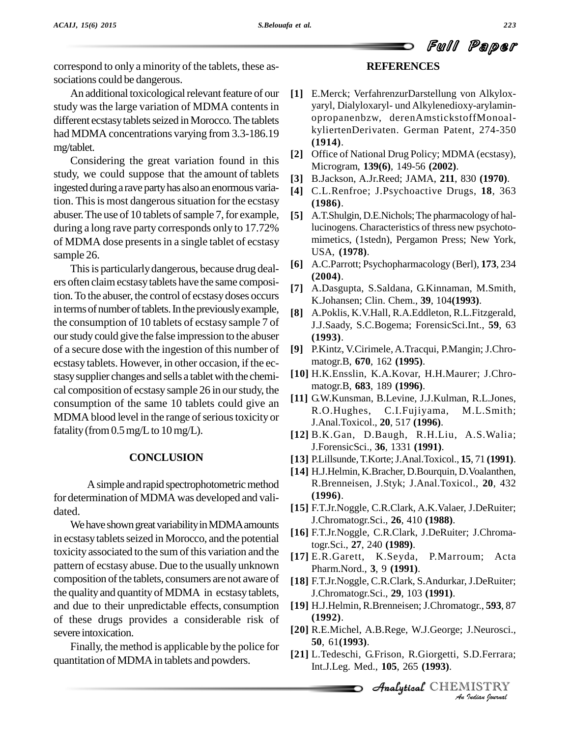correspond to only a minority of the tablets, these as sociations could be dangerous.

An additional toxicological relevant feature of our study was the large variation of MDMA contents in different ecstasy tablets seized in Morocco. The tablets had MDMA concentrations varying from 3.3-186.19 mg/tablet.

Considering the great variation found in this study, we could suppose that the amount of tablets ingested during a rave party has also an enormous variation. This is most dangerous situation for the ecstasy abuser. The use of 10 tablets of sample 7, for example, during a long rave party corresponds only to 17.72% of MDMA dose presentsin a single tablet of ecstasy sample 26.

This is particularly dangerous, because drug dealers often claimecstasytablets have the same composition.To the abuser, the control of ecstasydoses occurs in terms of number of tablets. In the previously example, the consumption of 10 tablets of ecstasy sample 7 of ourstudy could give the false impression to the abuser of a secure dose with the ingestion of this number of ecstasy tablets. However, in other occasion, if the ec stasysupplier changes and sells a tabletwith the chemi cal composition of ecstasy sample 26 in ourstudy, the consumption of the same 10 tablets could give an  $R.0$ . Hughes, MDMA blood level in the range of serious toxicity or fatality (from  $0.5 \text{ mg/L}$  to  $10 \text{ mg/L}$ ).

#### **CONCLUSION**

A simple and rapid spectrophotometric method for determination of MDMA was developed and vali dated.

We have shown great variability in MDMA amounts in ecstasy tablets seized in Morocco, and the potential toxicity associated to the sum of this variation and the pattern of ecstasy abuse. Due to the usually unknown composition of the tablets, consumers are not aware of the quality and quantity of MDMA in ecstasy tablets, and due to their unpredictable effects, consumption of these drugs provides a considerable risk of severe intoxication.

Finally, the method is applicable by the police for quantitation of MDMA in tablets and powders.

#### **REFERENCES**

- **[1]** E.Merck; VerfahrenzurDarstellung von Alkylox yaryl, Dialyloxaryl- und Alkylenedioxy-arylamin opropanenbzw, derenAmstickstoffMonoal kyliertenDerivaten. German Patent, 274-350 **(1914)**.
- **[2]** Office of National Drug Policy; MDMA (ecstasy), Microgram, **139(6)**, 149-56 **(2002)**.
- **[3]** B.Jackson, A.Jr.Reed; JAMA, **211**, 830 **(1970)**.
- **[4]** C.L.Renfroe; J.Psychoactive Drugs, **18**, 363 **(1986)**.
- [5] A.T.Shulgin, D.E.Nichols; The pharmacology of hallucinogens. Characteristics of thress new psychoto mimetics, (1stedn), Pergamon Press; New York, USA, **(1978)**.
- **[6]** A.C.Parrott; Psychopharmacology (Berl), **173**, 234 **(2004)**.
- **[7]** A.Dasgupta, S.Saldana, G.Kinnaman, M.Smith, K.Johansen; Clin. Chem., **39**, 104**(1993)**.
- **[8]** A.Poklis, K.V.Hall, R.A.Eddleton, R.L.Fitzgerald, J.J.Saady, S.C.Bogema; ForensicSci.Int., **59**, 63 **(1993)**.
- **[9]** P.Kintz, V.Cirimele, A.Tracqui, P.Mangin; J.Chro matogr.B, **670**, 162 **(1995)**.
- **[10]** H.K.Ensslin, K.A.Kovar, H.H.Maurer; J.Chro matogr.B, **683**, 189 **(1996)**.
- **[11]** G.W.Kunsman, B.Levine, J.J.Kulman, R.L.Jones, C.I.Fujiyama, M.L.Smith; J.Anal.Toxicol., **20**, 517 **(1996)**.
- **[12]** B.K.Gan, D.Baugh, R.H.Liu, A.S.Walia; J.ForensicSci., **36**, 1331 **(1991)**.
- **[13]** P.Lillsunde,T.Korte;J.Anal.Toxicol., **15**, 71 **(1991)**.
- **[14]** H.J.Helmin, K.Bracher, D.Bourquin, D.Voalanthen, R.Brenneisen, J.Styk; J.Anal.Toxicol., **20**, 432 **(1996)**.
- **[15]** F.T.Jr.Noggle, C.R.Clark, A.K.Valaer, J.DeRuiter; J.Chromatogr.Sci., **26**, 410 **(1988)**.
- **[16]** F.T.Jr.Noggle, C.R.Clark, J.DeRuiter; J.Chromatogr.Sci., **27**, 240 **(1989)**.
- **[17]** E.R.Garett, K.Seyda, P.Marroum; Acta Pharm.Nord., **3**, 9 **(1991)**.
- **[18]** F.T.Jr.Noggle, C.R.Clark, S.Andurkar,J.DeRuiter; J.Chromatogr.Sci., **29**, 103 **(1991)**.
- **[19]** H.J.Helmin, R.Brenneisen; J.Chromatogr., **593**, 87 **(1992)**.
- Analytical**[20]** R.E.Michel, A.B.Rege, W.J.George; J.Neurosci., **50**, 61**(1993)**.
- *J.Neurosci.,<br>3.D.Ferrara;<br>IISTRY<br><i>Indian Iournal* **[21]** L.Tedeschi, G.Frison, R.Giorgetti, S.D.Ferrara; Int.J.Leg. Med., **105**, 265 **(1993)**.

**Analytical** CHEMISTRY

Full Paper